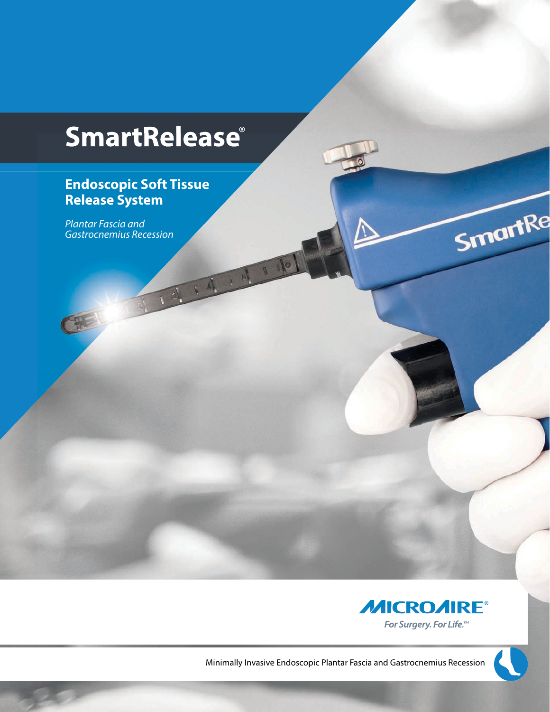# **SmartRelease**®

1911414

### **Endoscopic Soft Tissue Release System**

*Plantar Fascia and Gastrocnemius Recession*



Minimally Invasive Endoscopic Plantar Fascia and Gastrocnemius Recession



SmartRe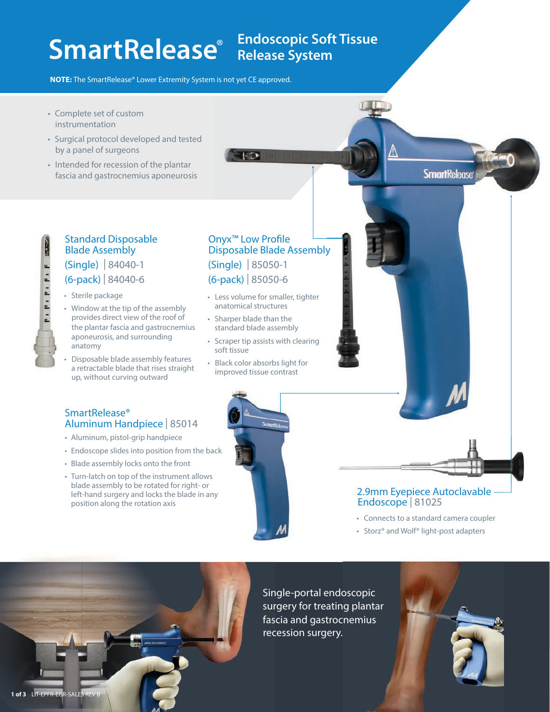# **SmartRelease** Endoscopic Soft

## **Endoscopic Soft Tissue**

**NOTE:** The SmartRelease® Lower Extremity System is not yet CE approved.

- Complete set of custom instrumentation
- Surgical protocol developed and tested by a panel of surgeons
- Intended for recession of the plantar fascia and gastrocnemius aponeurosis

### Blade Assembly

### (Single) | 84040-1

#### (6-pack) | 84040-6

• Sterile package

Ņ

SmartRelease®

- Window at the tip of the assembly provides direct view of the roof of the plantar fascia and gastrocnemius aponeurosis, and surrounding anatomy Standard Disposable<br>
Blade Assembly<br>
(Single) | 84040-1<br>
(6-pack) | 84040-6<br>
• Sterile package<br>
• Window at the tip of the as<br>
provides direct view of the<br>
the plantar fascia and gast<br>
aponeurosis, and surrounce<br>
anatomy<br>
- Disposable blade assembly features a retractable blade that rises straight up, without curving outward

Aluminum Handpiece | 85014 • Aluminum, pistol-grip handpiece

• Blade assembly locks onto the front • Turn-latch on top of the instrument allows blade assembly to be rotated for right- or left-hand surgery and locks the blade in any

position along the rotation axis

#### Onyx<sup>™</sup> Low Profile Disposable Blade Assembly (Single) | 85050-1 (6-pack) | 85050-6

- Less volume for smaller, tighter anatomical structures
- Sharper blade than the standard blade assembly
- Scraper tip assists with clearing soft tissue
- Black color absorbs light for improved tissue contrast



#### **SmartRelease**

#### 2.9mm Eyepiece Autoclavable Endoscope | 81025

- Connects to a standard camera coupler
- Storz® and Wolf® light-post adapters



Single-portal endoscopic surgery for treating plantar fascia and gastrocnemius recession surgery.

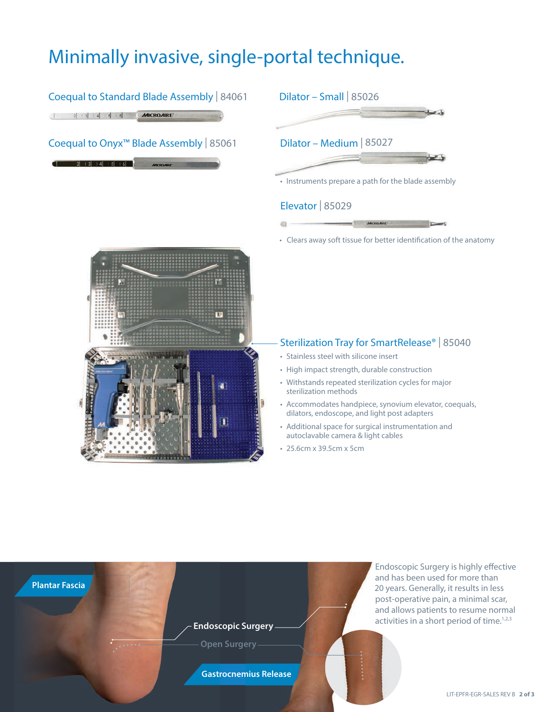### Minimally invasive, single-portal technique.

#### Coequal to Standard Blade Assembly | 84061 Dilator – Small | 85026  $2|3|4|5|6$  MICROAIRE

#### Coequal to Onyx™ Blade Assembly | 85061

 $2|13|14|15|16$ 



#### Elevator | 85029

ä.

• Clears away soft tissue for better identification of the anatomy

 $\blacksquare$ 



#### Sterilization Tray for SmartRelease® | 85040

• Stainless steel with silicone insert

**MICROARE** 

- High impact strength, durable construction
- Withstands repeated sterilization cycles for major sterilization methods
- Accommodates handpiece, synovium elevator, coequals, dilators, endoscope, and light post adapters
- Additional space for surgical instrumentation and autoclavable camera & light cables
- 25.6cm x 39.5cm x 5cm